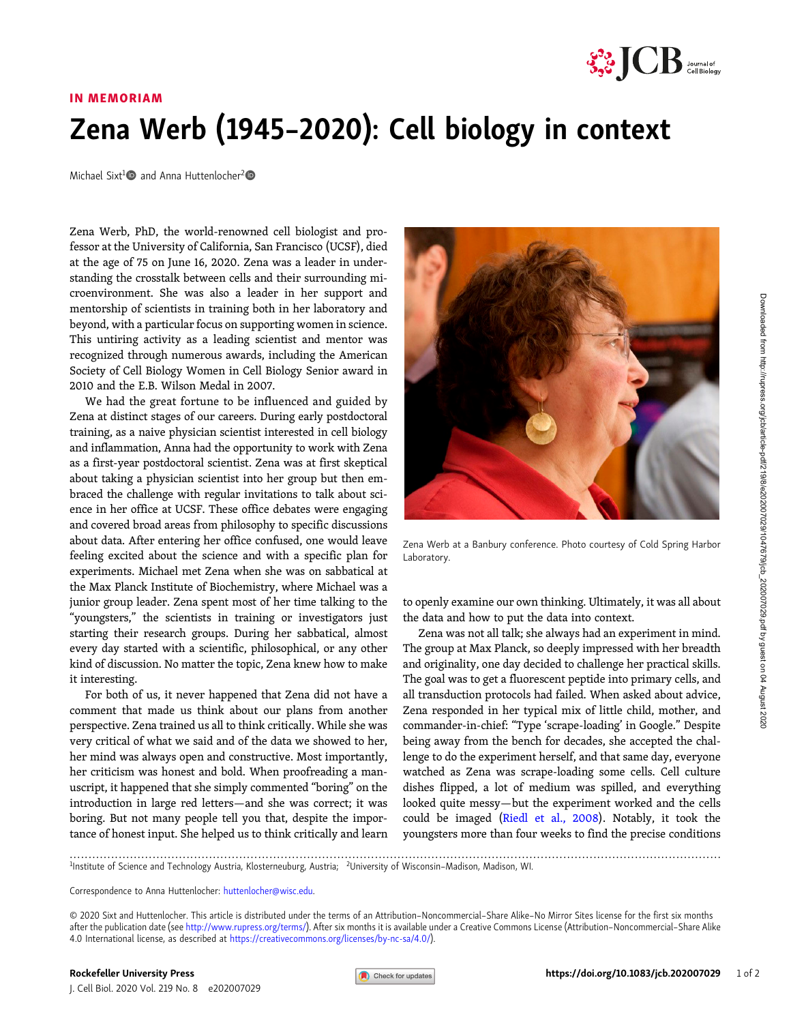

## IN MEMORIAM

## Zena Werb (1945–2020): Cell biology in context

Michael Sixt<sup>1</sup> $\bullet$  and Anna Huttenlocher<sup>2</sup> $\bullet$ 

Zena Werb, PhD, the world-renowned cell biologist and professor at the University of California, San Francisco (UCSF), died at the age of 75 on June 16, 2020. Zena was a leader in understanding the crosstalk between cells and their surrounding microenvironment. She was also a leader in her support and mentorship of scientists in training both in her laboratory and beyond, with a particular focus on supporting women in science. This untiring activity as a leading scientist and mentor was recognized through numerous awards, including the American Society of Cell Biology Women in Cell Biology Senior award in 2010 and the E.B. Wilson Medal in 2007.

We had the great fortune to be influenced and guided by Zena at distinct stages of our careers. During early postdoctoral training, as a naive physician scientist interested in cell biology and inflammation, Anna had the opportunity to work with Zena as a first-year postdoctoral scientist. Zena was at first skeptical about taking a physician scientist into her group but then embraced the challenge with regular invitations to talk about science in her office at UCSF. These office debates were engaging and covered broad areas from philosophy to specific discussions about data. After entering her office confused, one would leave feeling excited about the science and with a specific plan for experiments. Michael met Zena when she was on sabbatical at the Max Planck Institute of Biochemistry, where Michael was a junior group leader. Zena spent most of her time talking to the "youngsters," the scientists in training or investigators just starting their research groups. During her sabbatical, almost every day started with a scientific, philosophical, or any other kind of discussion. No matter the topic, Zena knew how to make it interesting.

For both of us, it never happened that Zena did not have a comment that made us think about our plans from another perspective. Zena trained us all to think critically. While she was very critical of what we said and of the data we showed to her, her mind was always open and constructive. Most importantly, her criticism was honest and bold. When proofreading a manuscript, it happened that she simply commented "boring" on the introduction in large red letters—and she was correct; it was boring. But not many people tell you that, despite the importance of honest input. She helped us to think critically and learn



Zena Werb at a Banbury conference. Photo courtesy of Cold Spring Harbor Laboratory.

to openly examine our own thinking. Ultimately, it was all about the data and how to put the data into context.

Zena was not all talk; she always had an experiment in mind. The group at Max Planck, so deeply impressed with her breadth and originality, one day decided to challenge her practical skills. The goal was to get a fluorescent peptide into primary cells, and all transduction protocols had failed. When asked about advice, Zena responded in her typical mix of little child, mother, and commander-in-chief: "Type 'scrape-loading' in Google." Despite being away from the bench for decades, she accepted the challenge to do the experiment herself, and that same day, everyone watched as Zena was scrape-loading some cells. Cell culture dishes flipped, a lot of medium was spilled, and everything looked quite messy—but the experiment worked and the cells could be imaged [\(Riedl et al., 2008](#page-1-0)). Notably, it took the youngsters more than four weeks to find the precise conditions

............................................................................................................................................................................. <sup>1</sup> Institute of Science and Technology Austria, Klosterneuburg, Austria; <sup>2</sup> University of Wisconsin–Madison, Madison, WI.

Correspondence to Anna Huttenlocher: [huttenlocher@wisc.edu](mailto:huttenlocher@wisc.edu).

© 2020 Sixt and Huttenlocher. This article is distributed under the terms of an Attribution–Noncommercial–Share Alike–No Mirror Sites license for the first six months after the publication date (see [http://www.rupress.org/terms/\)](http://www.rupress.org/terms/). After six months it is available under a Creative Commons License (Attribution–Noncommercial–Share Alike 4.0 International license, as described at <https://creativecommons.org/licenses/by-nc-sa/4.0/>).

J. Cell Biol. 2020 Vol. 219 No. 8 e202007029